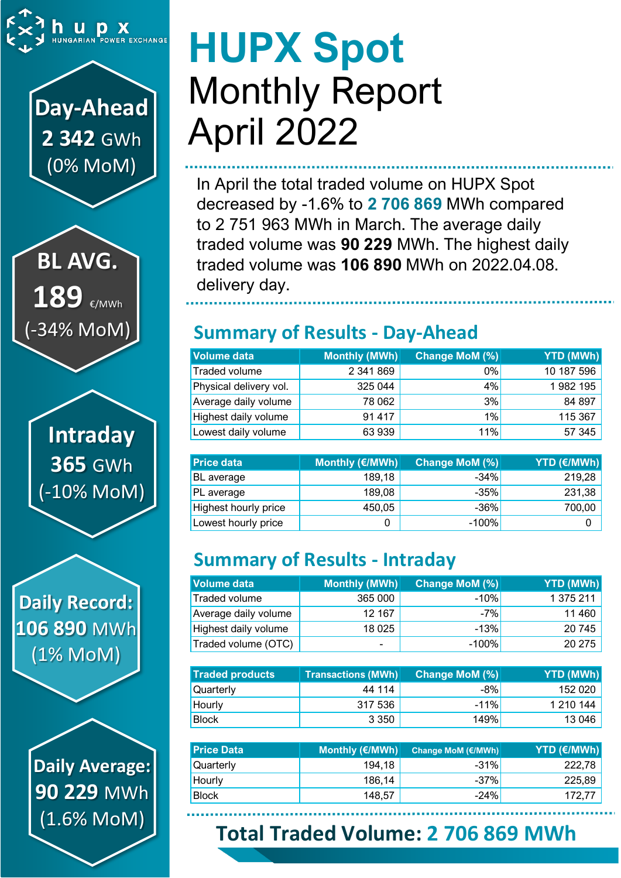

## **Day-Ahead 2 342** GWh (0% MoM)

**BL AVG.** 189 €/MWh (-34% MoM)

> **Intraday 365** GWh (-10% MoM)

**Daily Record: 106 890** MWh (1% MoM)

> **Daily Average: 90 229** MWh (1.6% MoM)

# **HUPX Spot** Monthly Report April 2022

In April the total traded volume on HUPX Spot decreased by -1.6% to **2 706 869** MWh compared to 2 751 963 MWh in March. The average daily traded volume was **90 229** MWh. The highest daily traded volume was **106 890** MWh on 2022.04.08. delivery day.

### **Summary of Results - Day-Ahead**

| Volume data            | Monthly (MWh) | Change MoM (%) | YTD (MWh)  |
|------------------------|---------------|----------------|------------|
| Traded volume          | 2 341 869     | 0%             | 10 187 596 |
| Physical delivery vol. | 325 044       | 4%             | 1982 195   |
| Average daily volume   | 78 062        | 3%             | 84 897     |
| Highest daily volume   | 91417         | 1%             | 115 367    |
| Lowest daily volume    | 63 939        | 11%            | 57 345     |

| <b>Price data</b>    | Monthly (€/MWh) | Change MoM (%) | <b>YTD (€/MWh)</b> |
|----------------------|-----------------|----------------|--------------------|
| BL average           | 189,18          | $-34%$         | 219,28             |
| PL average           | 189,08          | $-35%$         | 231,38             |
| Highest hourly price | 450,05          | $-36%$         | 700,00             |
| Lowest hourly price  |                 | $-100%$        |                    |

## **Summary of Results - Intraday**

| Volume data          | Monthly (MWh)            | Change MoM (%) | <b>YTD (MWh)</b> |
|----------------------|--------------------------|----------------|------------------|
| Traded volume        | 365 000                  | $-10%$         | 1 375 211        |
| Average daily volume | 12 167                   | $-7%$          | 11 460           |
| Highest daily volume | 18 0 25                  | $-13%$         | 20745            |
| Traded volume (OTC)  | $\overline{\phantom{a}}$ | $-100%$        | 20 275           |

| <b>Traded products</b> | <b>Transactions (MWh)</b> | <b>Change MoM (%)</b> | <b>YTD (MWh)</b> |
|------------------------|---------------------------|-----------------------|------------------|
| Quarterly              | 44 114                    | $-8%$                 | 152 020          |
| Hourly                 | 317 536                   | $-11%$                | 1 210 144        |
| <b>Block</b>           | 3 3 5 0                   | 149%                  | 13 046           |

| <b>Price Data</b> | Monthly (€/MWh) | <b>Change MoM (€/MWh)</b> | YTD (€/MWh) |
|-------------------|-----------------|---------------------------|-------------|
| Quarterly         | 194,18          | $-31%$                    | 222,78      |
| Hourly            | 186,14          | $-37\%$                   | 225,89      |
| <b>Block</b>      | 148.57          | $-24%$                    | 172,77      |

## **Total Traded Volume: 2 706 869 MWh**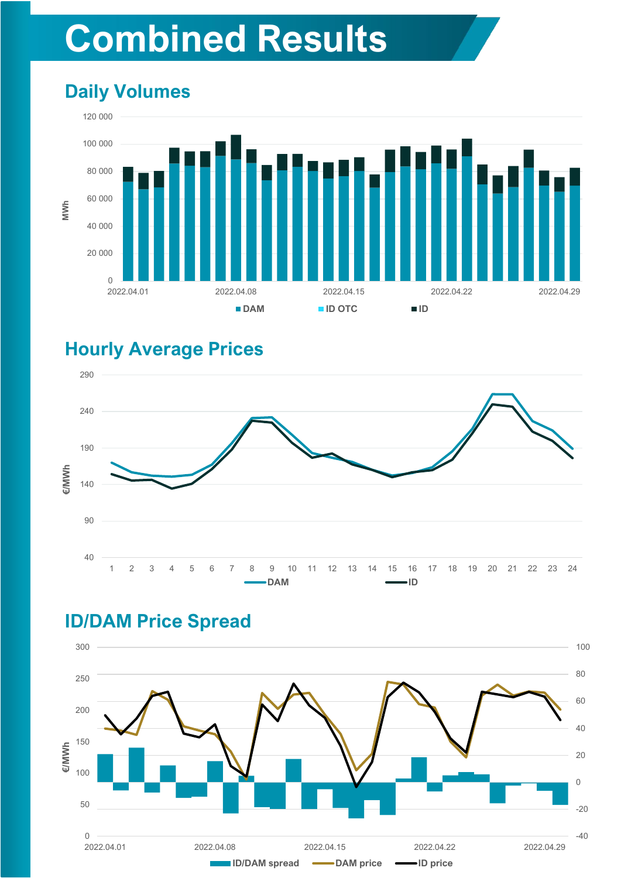## **Combined Results**

### **Daily Volumes**



#### **Hourly Average Prices**



#### **ID/DAM Price Spread**

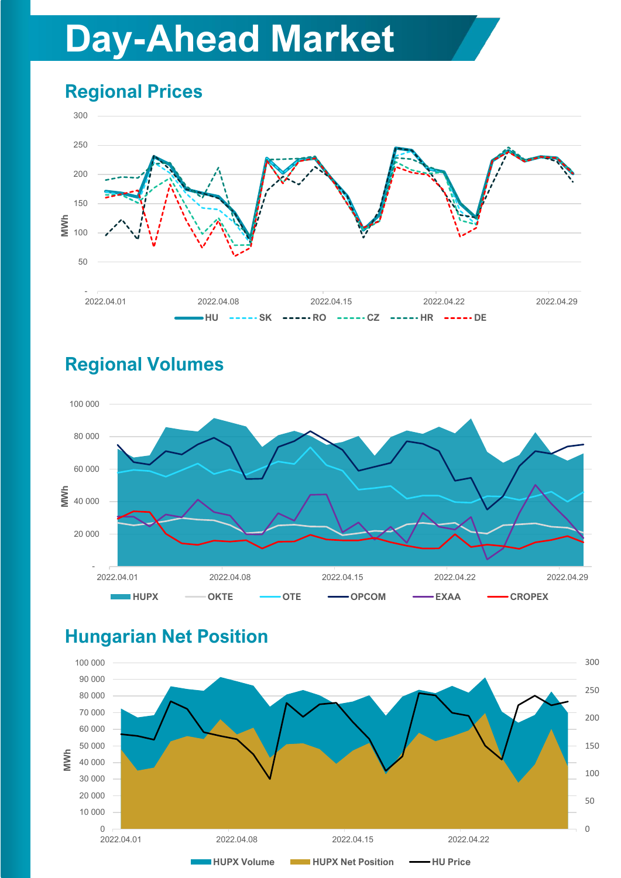## **Day-Ahead Market**

## **Regional Prices**



### **Regional Volumes**



#### **Hungarian Net Position**

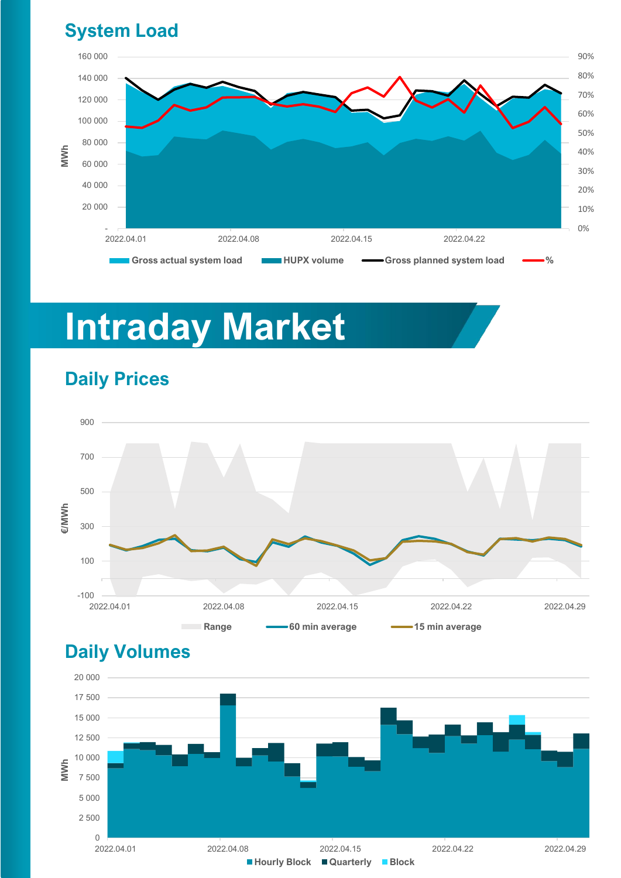#### **System Load**



## **Intraday Market**



#### **Daily Prices**